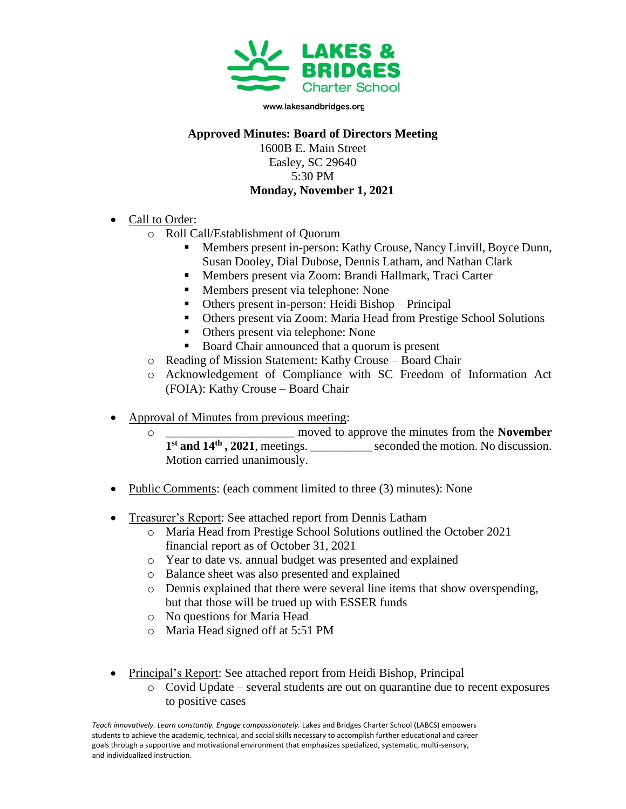

## **Approved Minutes: Board of Directors Meeting**

1600B E. Main Street Easley, SC 29640 5:30 PM **Monday, November 1, 2021**

- Call to Order:
	- o Roll Call/Establishment of Quorum
		- Members present in-person: Kathy Crouse, Nancy Linvill, Boyce Dunn, Susan Dooley, Dial Dubose, Dennis Latham, and Nathan Clark
		- Members present via Zoom: Brandi Hallmark, Traci Carter
		- Members present via telephone: None
		- Others present in-person: Heidi Bishop Principal
		- Others present via Zoom: Maria Head from Prestige School Solutions
		- Others present via telephone: None
		- Board Chair announced that a quorum is present
	- o Reading of Mission Statement: Kathy Crouse Board Chair
	- o Acknowledgement of Compliance with SC Freedom of Information Act (FOIA): Kathy Crouse – Board Chair
- Approval of Minutes from previous meeting:
	- o \_\_\_\_\_\_\_\_\_\_\_\_\_\_\_\_\_\_\_\_\_ moved to approve the minutes from the **November 1 st and 14th , 2021**, meetings. \_\_\_\_\_\_\_\_\_\_ seconded the motion. No discussion. Motion carried unanimously.
- Public Comments: (each comment limited to three (3) minutes): None
- Treasurer's Report: See attached report from Dennis Latham
	- o Maria Head from Prestige School Solutions outlined the October 2021 financial report as of October 31, 2021
	- o Year to date vs. annual budget was presented and explained
	- o Balance sheet was also presented and explained
	- o Dennis explained that there were several line items that show overspending, but that those will be trued up with ESSER funds
	- o No questions for Maria Head
	- o Maria Head signed off at 5:51 PM
- Principal's Report: See attached report from Heidi Bishop, Principal
	- o Covid Update several students are out on quarantine due to recent exposures to positive cases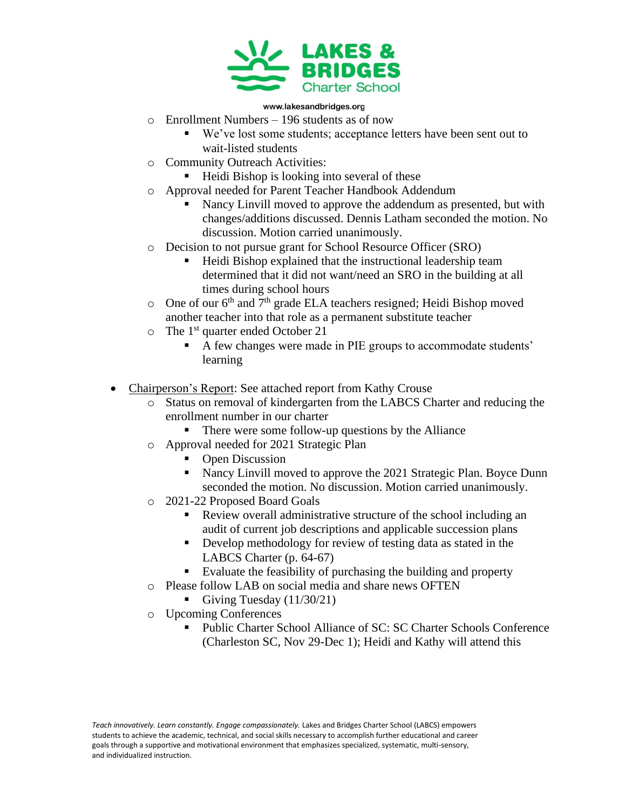

- o Enrollment Numbers 196 students as of now
	- We've lost some students; acceptance letters have been sent out to wait-listed students
- o Community Outreach Activities:
	- Heidi Bishop is looking into several of these
- o Approval needed for Parent Teacher Handbook Addendum
	- Nancy Linvill moved to approve the addendum as presented, but with changes/additions discussed. Dennis Latham seconded the motion. No discussion. Motion carried unanimously.
- o Decision to not pursue grant for School Resource Officer (SRO)
	- Heidi Bishop explained that the instructional leadership team determined that it did not want/need an SRO in the building at all times during school hours
- $\circ$  One of our 6<sup>th</sup> and 7<sup>th</sup> grade ELA teachers resigned; Heidi Bishop moved another teacher into that role as a permanent substitute teacher
- $\circ$  The 1<sup>st</sup> quarter ended October 21
	- A few changes were made in PIE groups to accommodate students' learning
- Chairperson's Report: See attached report from Kathy Crouse
	- o Status on removal of kindergarten from the LABCS Charter and reducing the enrollment number in our charter
		- There were some follow-up questions by the Alliance
	- o Approval needed for 2021 Strategic Plan
		- Open Discussion
		- Nancy Linvill moved to approve the 2021 Strategic Plan. Boyce Dunn seconded the motion. No discussion. Motion carried unanimously.
	- o 2021-22 Proposed Board Goals
		- Review overall administrative structure of the school including an audit of current job descriptions and applicable succession plans
		- Develop methodology for review of testing data as stated in the LABCS Charter (p. 64-67)
		- Evaluate the feasibility of purchasing the building and property
	- o Please follow LAB on social media and share news OFTEN
		- Giving Tuesday  $(11/30/21)$
	- o Upcoming Conferences
		- Public Charter School Alliance of SC: SC Charter Schools Conference (Charleston SC, Nov 29-Dec 1); Heidi and Kathy will attend this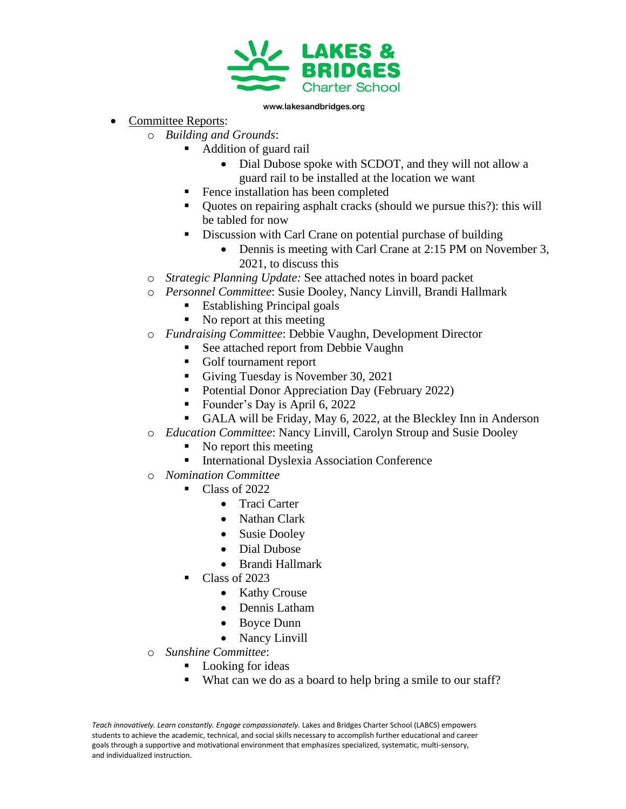

- Committee Reports:
	- o *Building and Grounds*:
		- Addition of guard rail
			- Dial Dubose spoke with SCDOT, and they will not allow a guard rail to be installed at the location we want
			- Fence installation has been completed
			- Quotes on repairing asphalt cracks (should we pursue this?): this will be tabled for now
			- **•** Discussion with Carl Crane on potential purchase of building
				- Dennis is meeting with Carl Crane at 2:15 PM on November 3, 2021, to discuss this
	- o *Strategic Planning Update:* See attached notes in board packet
	- o *Personnel Committee*: Susie Dooley, Nancy Linvill, Brandi Hallmark
		- Establishing Principal goals
		- No report at this meeting
	- o *Fundraising Committee*: Debbie Vaughn, Development Director
		- See attached report from Debbie Vaughn
		- Golf tournament report
		- Giving Tuesday is November 30, 2021
		- Potential Donor Appreciation Day (February 2022)
		- Founder's Day is April 6, 2022
		- GALA will be Friday, May 6, 2022, at the Bleckley Inn in Anderson
	- o *Education Committee*: Nancy Linvill, Carolyn Stroup and Susie Dooley
		- $\blacksquare$  No report this meeting
		- International Dyslexia Association Conference
	- o *Nomination Committee*
		- Class of 2022
			- Traci Carter
			- Nathan Clark
			- Susie Dooley
			- Dial Dubose
			- Brandi Hallmark
		- Class of 2023
			- Kathy Crouse
			- Dennis Latham
			- Boyce Dunn
			- Nancy Linvill
	- o *Sunshine Committee*:
		- Looking for ideas
		- What can we do as a board to help bring a smile to our staff?